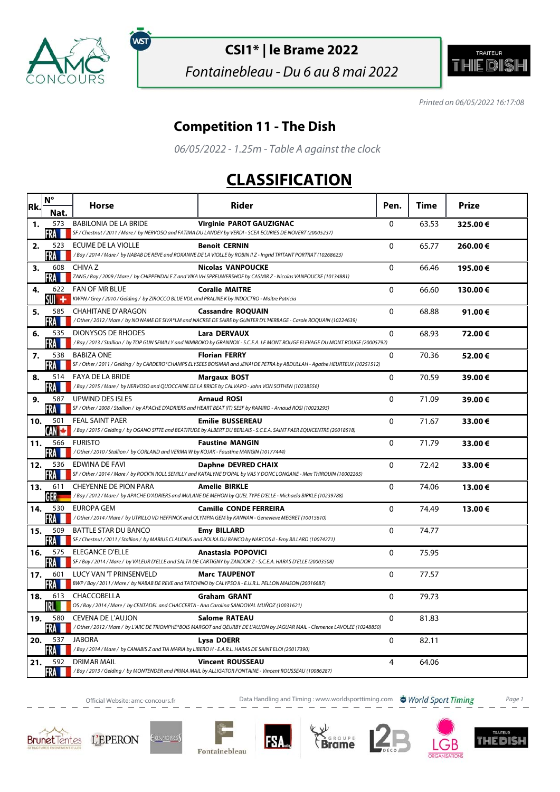

ัพรา

### **CSI1\* | le Brame 2022**

Fontainebleau - Du 6 au 8 mai 2022



Printed on 06/05/2022 16:17:08

### **Competition 11 - The Dish**

06/05/2022 - 1.25m - Table A against the clock

### **CLASSIFICATION**

| Rk. | $N^{\circ}$       | <b>Horse</b>                                                                                                                 | <b>Rider</b>                                                                                                                                        | Pen.           | Time  | Prize   |
|-----|-------------------|------------------------------------------------------------------------------------------------------------------------------|-----------------------------------------------------------------------------------------------------------------------------------------------------|----------------|-------|---------|
|     | Nat               |                                                                                                                              |                                                                                                                                                     |                |       |         |
| 1.  | 573<br>FRA M      | <b>BABILONIA DE LA BRIDE</b>                                                                                                 | <b>Virginie PAROT GAUZIGNAC</b><br>SF / Chestnut / 2011 / Mare / by NERVOSO and FATIMA DU LANDEY by VERDI - SCEA ECURIES DE NOVERT (20005237)       | $\mathbf 0$    | 63.53 | 325.00€ |
| 2.  | 523<br>FRA        | ECUME DE LA VIOLLE                                                                                                           | <b>Benoit CERNIN</b><br>/Bay / 2014 / Mare / by NABAB DE REVE and ROXANNE DE LA VIOLLE by ROBIN II Z - Ingrid TRITANT PORTRAT (10268623)            | $\Omega$       | 65.77 | 260.00€ |
| 3.  | 608<br>FRA        | CHIVA Z                                                                                                                      | <b>Nicolas VANPOUCKE</b><br>ZANG / Bay / 2009 / Mare / by CHIPPENDALE Z and VIKA VH SPREUWERSHOF by CASMIR Z - Nicolas VANPOUCKE (10134881)         | $\Omega$       | 66.46 | 195.00€ |
| 4.  | 622<br>su +       | <b>FAN OF MR BLUE</b><br>KWPN / Grey / 2010 / Gelding / by ZIROCCO BLUE VDL and PRALINE K by INDOCTRO - Maître Patricia      | <b>Coralie MAITRE</b>                                                                                                                               | $\Omega$       | 66.60 | 130.00€ |
| 5.  | 585<br>FRA M      | <b>CHAHITANE D'ARAGON</b>                                                                                                    | <b>Cassandre ROQUAIN</b><br>/ Other / 2012 / Mare / by NO NAME DE SIVA*LM and NACREE DE SAIRE by GUNTER D'L'HERBAGE - Carole ROQUAIN (10224639)     | 0              | 68.88 | 91.00€  |
| 6.  | 535<br>FRA        | DIONYSOS DE RHODES                                                                                                           | Lara DERVAUX<br>/Bay / 2013 / Stallion / by TOP GUN SEMILLY and NIMIBOKO by GRANNOX - S.C.E.A. LE MONT ROUGE ELEVAGE DU MONT ROUGE (20005792)       | 0              | 68.93 | 72.00€  |
| 7.  | 538<br>FRA        | <b>BABIZA ONE</b>                                                                                                            | <b>Florian FERRY</b><br>SF / Other / 2011 / Gelding / by CARDERO*CHAMPS ELYSEES BOISMAR and JENAI DE PETRA by ABDULLAH - Agathe HEURTEUX (10251512) | 0              | 70.36 | 52.00€  |
| 8.  | 514<br>FRA M      | <b>FAYA DE LA BRIDE</b><br>/Bay / 2015 / Mare / by NERVOSO and QUOCCAINE DE LA BRIDE by CALVARO - John VON SOTHEN (10238556) | <b>Margaux BOST</b>                                                                                                                                 | 0              | 70.59 | 39.00€  |
| 9.  | 587<br>FRA        | UPWIND DES ISLES                                                                                                             | <b>Arnaud ROSI</b><br>SF / Other / 2008 / Stallion / by APACHE D'ADRIERS and HEART BEAT (IT) SESF by RAMIRO - Arnaud ROSI (10023295)                | $\Omega$       | 71.09 | 39.00€  |
| 10. | 501<br><b>AND</b> | <b>FEAL SAINT PAER</b>                                                                                                       | <b>Emilie BUSSEREAU</b><br>/Bay / 2015 / Gelding / by OGANO SITTE and BEATITUDE by ALBERT DU BERLAIS - S.C.E.A. SAINT PAER EQUICENTRE (20018518)    | $\mathbf 0$    | 71.67 | 33.00€  |
| 11. | 566<br><b>FRA</b> | <b>FURISTO</b><br>/Other / 2010 / Stallion / by CORLAND and VERMA W by KOJAK - Faustine MANGIN (10177444)                    | <b>Faustine MANGIN</b>                                                                                                                              | 0              | 71.79 | 33.00€  |
| 12. | 536<br>FRA        | EDWINA DE FAVI                                                                                                               | Daphne DEVRED CHAIX<br>SF / Other / 2014 / Mare / by ROCK'N ROLL SEMILLY and KATALYNE D'OPAL by VAS Y DONC LONGANE - Max THIROUIN (10002265)        | 0              | 72.42 | 33.00€  |
| 13. | 611               | CHEYENNE DE PION PARA                                                                                                        | <b>Amelie BIRKLE</b><br>/Bay/2012/Mare/ by APACHE D'ADRIERS and MULANE DE MEHON by QUEL TYPE D'ELLE - Michaela BIRKLE (10239788)                    | 0              | 74.06 | 13.00€  |
| 14. | 530<br>FRA I      | <b>EUROPA GEM</b>                                                                                                            | <b>Camille CONDE FERREIRA</b><br>/ Other / 2014 / Mare / by UTRILLO VD HEFFINCK and OLYMPIA GEM by KANNAN - Genevieve MEGRET (10015610)             | $\mathbf{0}$   | 74.49 | 13.00€  |
| 15. | 509<br>FRA M      | <b>BATTLE STAR DU BANCO</b>                                                                                                  | <b>Emy BILLARD</b><br>SF / Chestnut / 2011 / Stallion / by MARIUS CLAUDIUS and POLKA DU BANCO by NARCOS II - Emy BILLARD (10074271)                 | 0              | 74.77 |         |
| 16. | 575<br>FRA        | <b>ELEGANCE D'ELLE</b>                                                                                                       | Anastasia POPOVICI<br>SF / Bay / 2014 / Mare / by VALEUR D'ELLE and SALTA DE CARTIGNY by ZANDOR Z - S.C.E.A. HARAS D'ELLE (20003508)                | $\mathbf{0}$   | 75.95 |         |
| 17. | 601<br>FRA        | LUCY VAN 'T PRINSENVELD                                                                                                      | <b>Marc TAUPENOT</b><br>BWP / Bay / 2011 / Mare / by NABAB DE REVE and TATCHINO by CALYPSO II - E.U.R.L. PELLON MAISON (20016687)                   | $\mathbf{0}$   | 77.57 |         |
| 18. | 613<br>IRL I      | CHACCOBELLA<br>OS / Bay / 2014 / Mare / by CENTADEL and CHACCERTA - Ana Carolina SANDOVAL MUÑOZ (10031621)                   | <b>Graham GRANT</b>                                                                                                                                 | 0              | 79.73 |         |
| 19. | 580<br>FRA        | <b>CEVENA DE L'AUJON</b>                                                                                                     | <b>Salome RATEAU</b><br>/Other / 2012 / Mare / by L'ARC DE TRIOMPHE*BOIS MARGOT and QEURBY DE L'AUJON by JAGUAR MAIL - Clemence LAVOLEE (10248850)  | $\Omega$       | 81.83 |         |
| 20. | 537<br>FRA        | <b>JABORA</b><br>/Bay/2014/Mare/ by CANABIS Z and TIA MARIA by LIBERO H - E.A.R.L. HARAS DE SAINT ELOI (20017390)            | Lysa DOERR                                                                                                                                          | $\mathbf{0}$   | 82.11 |         |
| 21. | 592<br><b>FRA</b> | <b>DRIMAR MAIL</b>                                                                                                           | <b>Vincent ROUSSEAU</b><br>/Bay/2013/Gelding/by MONTENDER and PRIMA MAIL by ALLIGATOR FONTAINE - Vincent ROUSSEAU (10086287)                        | $\overline{4}$ | 64.06 |         |

Official Website: amc-concours.fr **Data Handling and Timing : www.worldsporttiming.com b** World Sport Timing Page 1















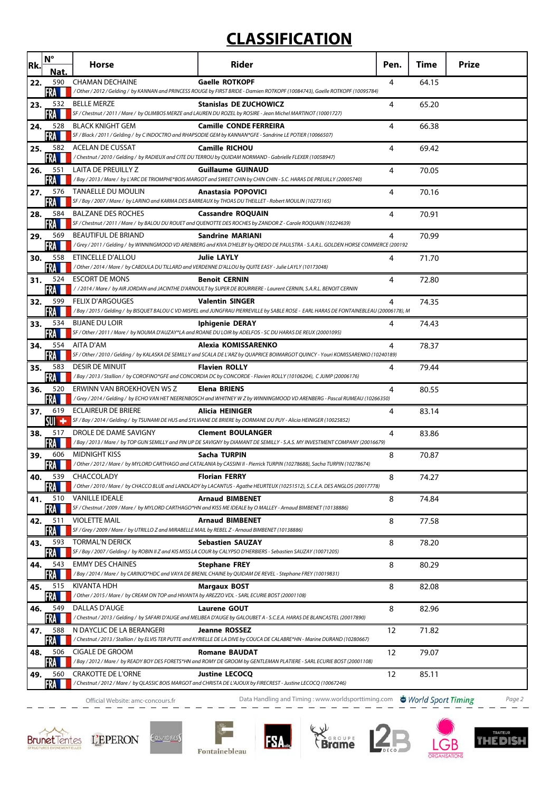# **CLASSIFICATION**

| Rk. | $N^{\circ}$       | Horse                                                                                                                     | Rider                                                                                                                                                       | Pen. | Time  | <b>Prize</b> |
|-----|-------------------|---------------------------------------------------------------------------------------------------------------------------|-------------------------------------------------------------------------------------------------------------------------------------------------------------|------|-------|--------------|
| 22. | Nat.<br>590       | <b>CHAMAN DECHAINE</b>                                                                                                    | <b>Gaelle ROTKOPF</b>                                                                                                                                       | 4    | 64.15 |              |
|     | <b>FRA</b>        |                                                                                                                           | / Other / 2012 / Gelding / by KANNAN and PRINCESS ROUGE by FIRST BRIDE - Damien ROTKOPF (10084743), Gaelle ROTKOPF (10095784)                               |      |       |              |
| 23. | 532<br>FRA        | <b>BELLE MERZE</b>                                                                                                        | <b>Stanislas DE ZUCHOWICZ</b><br>SF / Chestnut / 2011 / Mare / by OLIMBOS MERZE and LAUREN DU ROZEL by ROSIRE - Jean Michel MARTINOT (10001727)             | 4    | 65.20 |              |
| 24. | 528               | <b>BLACK KNIGHT GEM</b>                                                                                                   | <b>Camille CONDE FERREIRA</b>                                                                                                                               | 4    | 66.38 |              |
|     | 582               | <b>ACELAN DE CUSSAT</b>                                                                                                   | SF / Black / 2011 / Gelding / by C INDOCTRO and RHAPSODIE GEM by KANNAN*GFE - Sandrine LE POTIER (10066507)                                                 |      |       |              |
| 25. |                   |                                                                                                                           | <b>Camille RICHOU</b><br>/Chestnut / 2010 / Gelding / by RADIEUX and CITE DU TERROU by QUIDAM NORMAND - Gabrielle FLEXER (10058947)                         | 4    | 69.42 |              |
| 26. | 551<br>FRA        | LAITA DE PREUILLY Z                                                                                                       | <b>Guillaume GUINAUD</b><br>/Bay/2013/Mare/ by L'ARC DE TRIOMPHE*BOIS MARGOT and SWEET CHIN by CHIN CHIN - S.C. HARAS DE PREUILLY (20005740)                | 4    | 70.05 |              |
| 27. | 576               | <b>TANAELLE DU MOULIN</b>                                                                                                 | <b>Anastasia POPOVICI</b>                                                                                                                                   | 4    | 70.16 |              |
|     | FRA               |                                                                                                                           | SF / Bay / 2007 / Mare / by LARINO and KARMA DES BARREAUX by THOAS DU THEILLET - Robert MOULIN (10273165)                                                   |      |       |              |
| 28. | 584<br>FRA        | <b>BALZANE DES ROCHES</b>                                                                                                 | <b>Cassandre ROQUAIN</b><br>SF / Chestnut / 2011 / Mare / by BALOU DU ROUET and QUENOTTE DES ROCHES by ZANDOR Z - Carole ROQUAIN (10224639)                 | 4    | 70.91 |              |
| 29. | 569               | <b>BEAUTIFUL DE BRIAND</b>                                                                                                | <b>Sandrine MARIANI</b>                                                                                                                                     | 4    | 70.99 |              |
| 30. | FRA<br>558        | <b>ETINCELLE D'ALLOU</b>                                                                                                  | Grey / 2011 / Gelding / by WINNINGMOOD VD ARENBERG and KIVA D'HELBY by QREDO DE PAULSTRA - S.A.R.L. GOLDEN HORSE COMMERCE (200192<br><b>Julie LAYLY</b>     | 4    | 71.70 |              |
|     | FRA I             |                                                                                                                           | / Other / 2014 / Mare / by CABDULA DU TILLARD and VERDENNE D'ALLOU by QUITE EASY - Julie LAYLY (10173048)                                                   |      |       |              |
| 31. | 524<br>FRA I      | <b>ESCORT DE MONS</b>                                                                                                     | <b>Benoit CERNIN</b><br>/ / 2014 / Mare / by AIR JORDAN and JACINTHE D'ARNOULT by SUPER DE BOURRIERE - Laurent CERNIN, S.A.R.L. BENOIT CERNIN               | 4    | 72.80 |              |
| 32. | 599               | <b>FELIX D'ARGOUGES</b>                                                                                                   | <b>Valentin SINGER</b>                                                                                                                                      | 4    | 74.35 |              |
|     | FRA               |                                                                                                                           | /Bay / 2015 / Gelding / by BISQUET BALOU C VD MISPEL and JUNGFRAU PIERREVILLE by SABLE ROSE - EARL HARAS DE FONTAINEBLEAU (20006178), M                     |      |       |              |
| 33. | 534<br>FRA        | <b>BIJANE DU LOIR</b>                                                                                                     | Iphigenie DERAY<br>SF / Other / 2011 / Mare / by NOUMA D'AUZAY*LA and ROANE DU LOIR by ADELFOS - SC DU HARAS DE REUX (20001095)                             | 4    | 74.43 |              |
| 34. | 554               | AITA D'AM                                                                                                                 | Alexia KOMISSARENKO                                                                                                                                         | 4    | 78.37 |              |
| 35. | FRA L<br>583      | <b>DESIR DE MINUIT</b>                                                                                                    | SF / Other / 2010 / Gelding / by KALASKA DE SEMILLY and SCALA DE L'ARZ by QUAPRICE BOIMARGOT QUINCY - Youri KOMISSARENKO (10240189)<br><b>Flavien ROLLY</b> | 4    | 79.44 |              |
|     | <b>FRA</b>        |                                                                                                                           | /Bay / 2013 / Stallion / by COROFINO*GFE and CONCORDIA DC by CONCORDE - Flavien ROLLY (10106204), CJUMP (20006176)                                          |      |       |              |
| 36. | 520<br><b>FRA</b> | ERWINN VAN BROEKHOVEN WS Z                                                                                                | <b>Elena BRIENS</b><br>/Grey / 2014 / Gelding / by ECHO VAN HET NEERENBOSCH and WHITNEY W Z by WINNINGMOOD VD ARENBERG - Pascal RUMEAU (10266350)           | 4    | 80.55 |              |
| 37. | 619               | <b>ECLAIREUR DE BRIERE</b>                                                                                                | Alicia HEINIGER<br>SF / Bay / 2014 / Gelding / by TSUNAMI DE HUS and SYLVIANE DE BRIERE by DORMANE DU PUY - Alicia HEINIGER (10025852)                      | 4    | 83.14 |              |
| 38. | SUI +<br>517      | DROLE DE DAME SAVIGNY                                                                                                     | <b>Clement BOULANGER</b>                                                                                                                                    | 4    | 83.86 |              |
|     | FRA               |                                                                                                                           | /Bay / 2013 / Mare / by TOP GUN SEMILLY and PIN UP DE SAVIGNY by DIAMANT DE SEMILLY - S.A.S. MY INVESTMENT COMPANY (20016679)                               |      |       |              |
| 39. | 606<br>FRA        | <b>MIDNIGHT KISS</b>                                                                                                      | Sacha TURPIN<br>/ Other / 2012 / Mare / by MYLORD CARTHAGO and CATALANIA by CASSINI II - Pierrick TURPIN (10278688), Sacha TURPIN (10278674)                | 8    | 70.87 |              |
| 40. | 539<br>FRA        | CHACCOLADY                                                                                                                | <b>Florian FERRY</b><br>/ Other / 2010 / Mare / by CHACCO BLUE and LANDLADY by LACANTUS - Agathe HEURTEUX (10251512), S.C.E.A. DES ANGLOS (20017778)        | 8    | 74.27 |              |
| 41. | 510               | <b>VANILLE IDEALE</b>                                                                                                     | <b>Arnaud BIMBENET</b>                                                                                                                                      | 8    | 74.84 |              |
|     | FRA               |                                                                                                                           | SF / Chestnut / 2009 / Mare / by MYLORD CARTHAGO*HN and KISS ME IDEALE by O MALLEY - Arnaud BIMBENET (10138886)                                             |      |       |              |
| 42. | 511<br>FRA        | <b>VIOLETTE MAIL</b><br>SF / Grey / 2009 / Mare / by UTRILLO Z and MIRABELLE MAIL by REBEL Z - Arnaud BIMBENET (10138886) | <b>Arnaud BIMBENET</b>                                                                                                                                      | 8    | 77.58 |              |
| 43. | 593               | <b>TORMAL'N DERICK</b>                                                                                                    | <b>Sebastien SAUZAY</b>                                                                                                                                     | 8    | 78.20 |              |
| 44. | FRA<br>543        | <b>EMMY DES CHAINES</b>                                                                                                   | SF / Bay / 2007 / Gelding / by ROBIN II Z and KIS MISS LA COUR by CALYPSO D'HERBIERS - Sebastien SAUZAY (10071205)<br><b>Stephane FREY</b>                  | 8    | 80.29 |              |
|     | FRA               |                                                                                                                           | /Bay / 2014 / Mare / by CARINJO*HDC and VAYA DE BRENIL CHAINE by QUIDAM DE REVEL - Stephane FREY (10019831)                                                 |      |       |              |
| 45. | 515<br>FRA        | KIVANTA HDH<br>/Other / 2015 / Mare / by CREAM ON TOP and HIVANTA by AREZZO VDL - SARL ECURIE BOST (20001108)             | <b>Margaux BOST</b>                                                                                                                                         | 8    | 82.08 |              |
| 46. | 549<br>FRA        | DALLAS D'AUGE                                                                                                             | <b>Laurene GOUT</b><br>/Chestnut / 2013 / Gelding / by SAFARI D'AUGE and MELIBEA D'AUGE by GALOUBET A - S.C.E.A. HARAS DE BLANCASTEL (20017890)             | 8    | 82.96 |              |
| 47. | 588               | N DAYCLIC DE LA BERANGERI                                                                                                 | <b>Jeanne ROSSEZ</b>                                                                                                                                        | 12   | 71.82 |              |
|     | FRA I<br>506      | CIGALE DE GROOM                                                                                                           | / Chestnut / 2013 / Stallion / by ELVIS TER PUTTE and KYRIELLE DE LA DIVE by COUCA DE CALABRE*HN - Marine DURAND (10280667)                                 | 12   |       |              |
| 48. | FRA               |                                                                                                                           | <b>Romane BAUDAT</b><br>/Bay / 2012 / Mare / by READY BOY DES FORETS*HN and ROMY DE GROOM by GENTLEMAN PLATIERE - SARL ECURIE BOST (20001108)               |      | 79.07 |              |
| 49. | 560<br>FRA        | <b>CRAKOTTE DE L'ORNE</b>                                                                                                 | <b>Justine LECOCQ</b><br>/ Chestnut / 2012 / Mare / by QLASSIC BOIS MARGOT and CHRISTA DE L'AJOUX by FIRECREST - Justine LECOCQ (10067246)                  | 12   | 85.11 |              |
|     |                   | Official Website: amc-concours.fr                                                                                         | Data Handling and Timing: www.worldsporttiming.com World Sport Timing                                                                                       |      |       | Page 2       |